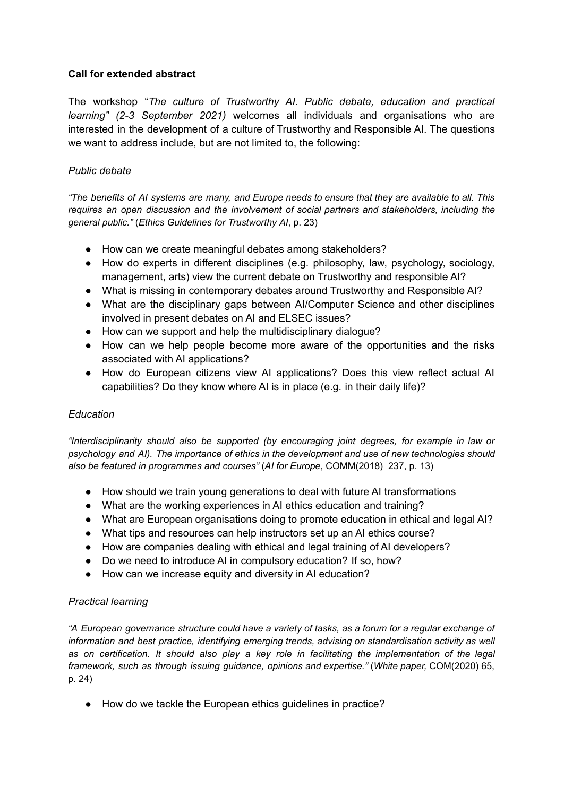# **Call for extended abstract**

The workshop "*The culture of Trustworthy AI. Public debate, education and practical learning" (2-3 September 2021)* welcomes all individuals and organisations who are interested in the development of a culture of Trustworthy and Responsible AI. The questions we want to address include, but are not limited to, the following:

# *Public debate*

"The benefits of AI systems are many, and Europe needs to ensure that they are available to all. This *requires an open discussion and the involvement of social partners and stakeholders, including the general public."* (*Ethics Guidelines for Trustworthy AI*, p. 23)

- How can we create meaningful debates among stakeholders?
- How do experts in different disciplines (e.g. philosophy, law, psychology, sociology, management, arts) view the current debate on Trustworthy and responsible AI?
- What is missing in contemporary debates around Trustworthy and Responsible AI?
- What are the disciplinary gaps between AI/Computer Science and other disciplines involved in present debates on AI and ELSEC issues?
- How can we support and help the multidisciplinary dialogue?
- How can we help people become more aware of the opportunities and the risks associated with AI applications?
- How do European citizens view AI applications? Does this view reflect actual AI capabilities? Do they know where AI is in place (e.g. in their daily life)?

## *Education*

*"Interdisciplinarity should also be supported (by encouraging joint degrees, for example in law or psychology and AI). The importance of ethics in the development and use of new technologies should also be featured in programmes and courses"* (*AI for Europe*, COMM(2018) 237, p. 13)

- How should we train young generations to deal with future AI transformations
- What are the working experiences in AI ethics education and training?
- What are European organisations doing to promote education in ethical and legal AI?
- What tips and resources can help instructors set up an AI ethics course?
- How are companies dealing with ethical and legal training of AI developers?
- Do we need to introduce AI in compulsory education? If so, how?
- How can we increase equity and diversity in AI education?

## *Practical learning*

"A European governance structure could have a variety of tasks, as a forum for a regular exchange of *information and best practice, identifying emerging trends, advising on standardisation activity as well as on certification. It should also play a key role in facilitating the implementation of the legal framework, such as through issuing guidance, opinions and expertise."* (*White paper,* COM(2020) 65, p. 24)

● How do we tackle the European ethics guidelines in practice?